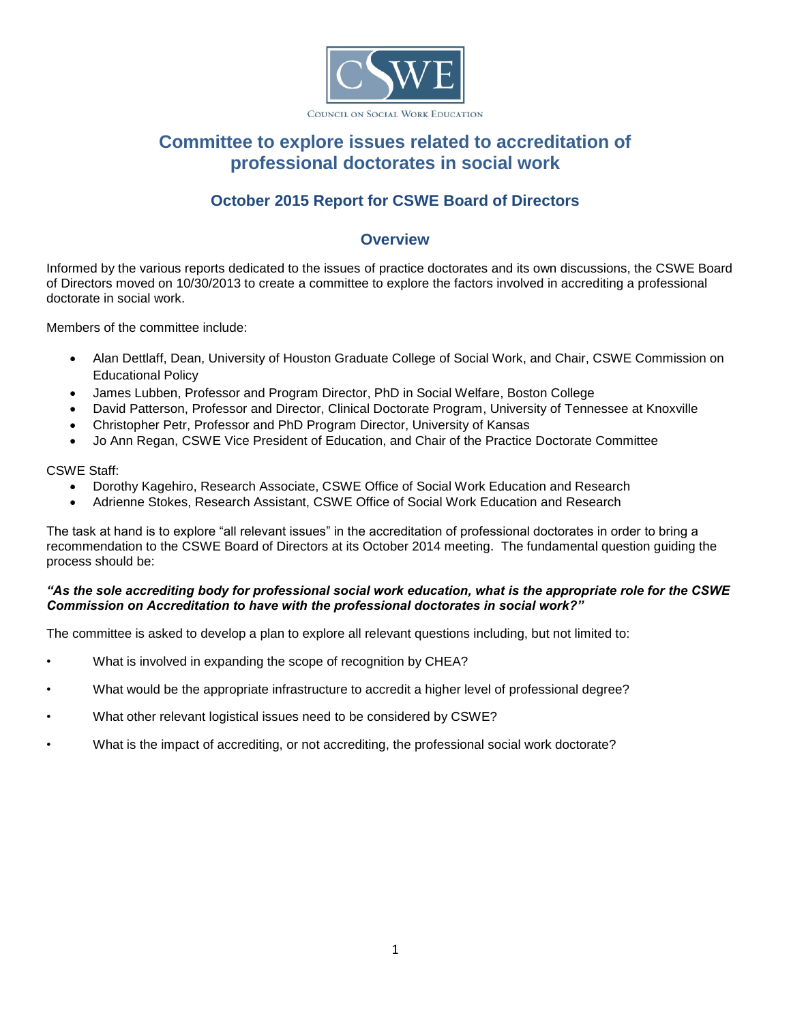

#### COUNCIL ON SOCIAL WORK EDUCATION

# **Committee to explore issues related to accreditation of professional doctorates in social work**

# **October 2015 Report for CSWE Board of Directors**

## **Overview**

Informed by the various reports dedicated to the issues of practice doctorates and its own discussions, the CSWE Board of Directors moved on 10/30/2013 to create a committee to explore the factors involved in accrediting a professional doctorate in social work.

Members of the committee include:

- Alan Dettlaff, Dean, University of Houston Graduate College of Social Work, and Chair, CSWE Commission on Educational Policy
- James Lubben, Professor and Program Director, PhD in Social Welfare, Boston College
- David Patterson, Professor and Director, Clinical Doctorate Program, University of Tennessee at Knoxville
- Christopher Petr, Professor and PhD Program Director, University of Kansas
- Jo Ann Regan, CSWE Vice President of Education, and Chair of the Practice Doctorate Committee

CSWE Staff:

- Dorothy Kagehiro, Research Associate, CSWE Office of Social Work Education and Research
- Adrienne Stokes, Research Assistant, CSWE Office of Social Work Education and Research

The task at hand is to explore "all relevant issues" in the accreditation of professional doctorates in order to bring a recommendation to the CSWE Board of Directors at its October 2014 meeting. The fundamental question guiding the process should be:

### *"As the sole accrediting body for professional social work education, what is the appropriate role for the CSWE Commission on Accreditation to have with the professional doctorates in social work?"*

The committee is asked to develop a plan to explore all relevant questions including, but not limited to:

- What is involved in expanding the scope of recognition by CHEA?
- What would be the appropriate infrastructure to accredit a higher level of professional degree?
- What other relevant logistical issues need to be considered by CSWE?
- What is the impact of accrediting, or not accrediting, the professional social work doctorate?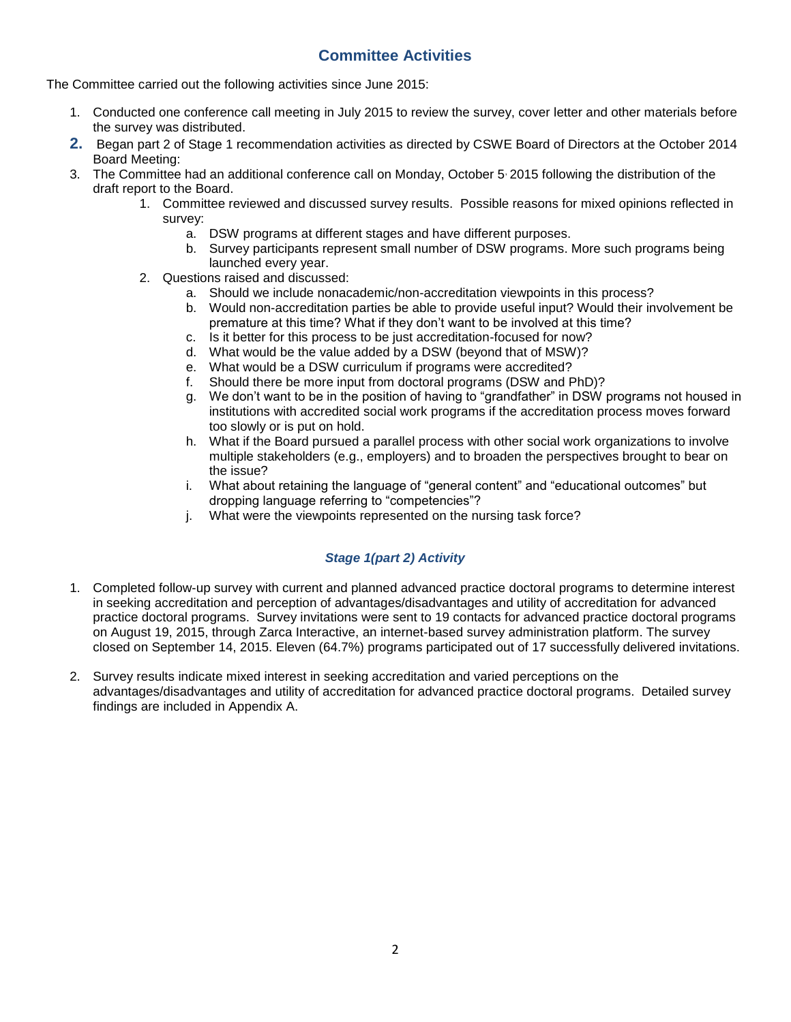## **Committee Activities**

The Committee carried out the following activities since June 2015:

- 1. Conducted one conference call meeting in July 2015 to review the survey, cover letter and other materials before the survey was distributed.
- **2.** Began part 2 of Stage 1 recommendation activities as directed by CSWE Board of Directors at the October 2014 Board Meeting:
- 3. The Committee had an additional conference call on Monday, October 5, 2015 following the distribution of the draft report to the Board.
	- 1. Committee reviewed and discussed survey results. Possible reasons for mixed opinions reflected in survey:
		- a. DSW programs at different stages and have different purposes.
		- b. Survey participants represent small number of DSW programs. More such programs being launched every year.
	- 2. Questions raised and discussed:
		- a. Should we include nonacademic/non-accreditation viewpoints in this process?
		- b. Would non-accreditation parties be able to provide useful input? Would their involvement be premature at this time? What if they don't want to be involved at this time?
		- c. Is it better for this process to be just accreditation-focused for now?
		- d. What would be the value added by a DSW (beyond that of MSW)?
		- e. What would be a DSW curriculum if programs were accredited?
		- f. Should there be more input from doctoral programs (DSW and PhD)?
		- g. We don't want to be in the position of having to "grandfather" in DSW programs not housed in institutions with accredited social work programs if the accreditation process moves forward too slowly or is put on hold.
		- h. What if the Board pursued a parallel process with other social work organizations to involve multiple stakeholders (e.g., employers) and to broaden the perspectives brought to bear on the issue?
		- i. What about retaining the language of "general content" and "educational outcomes" but dropping language referring to "competencies"?
		- j. What were the viewpoints represented on the nursing task force?

### *Stage 1(part 2) Activity*

- 1. Completed follow-up survey with current and planned advanced practice doctoral programs to determine interest in seeking accreditation and perception of advantages/disadvantages and utility of accreditation for advanced practice doctoral programs. Survey invitations were sent to 19 contacts for advanced practice doctoral programs on August 19, 2015, through Zarca Interactive, an internet-based survey administration platform. The survey closed on September 14, 2015. Eleven (64.7%) programs participated out of 17 successfully delivered invitations.
- 2. Survey results indicate mixed interest in seeking accreditation and varied perceptions on the advantages/disadvantages and utility of accreditation for advanced practice doctoral programs. Detailed survey findings are included in Appendix A.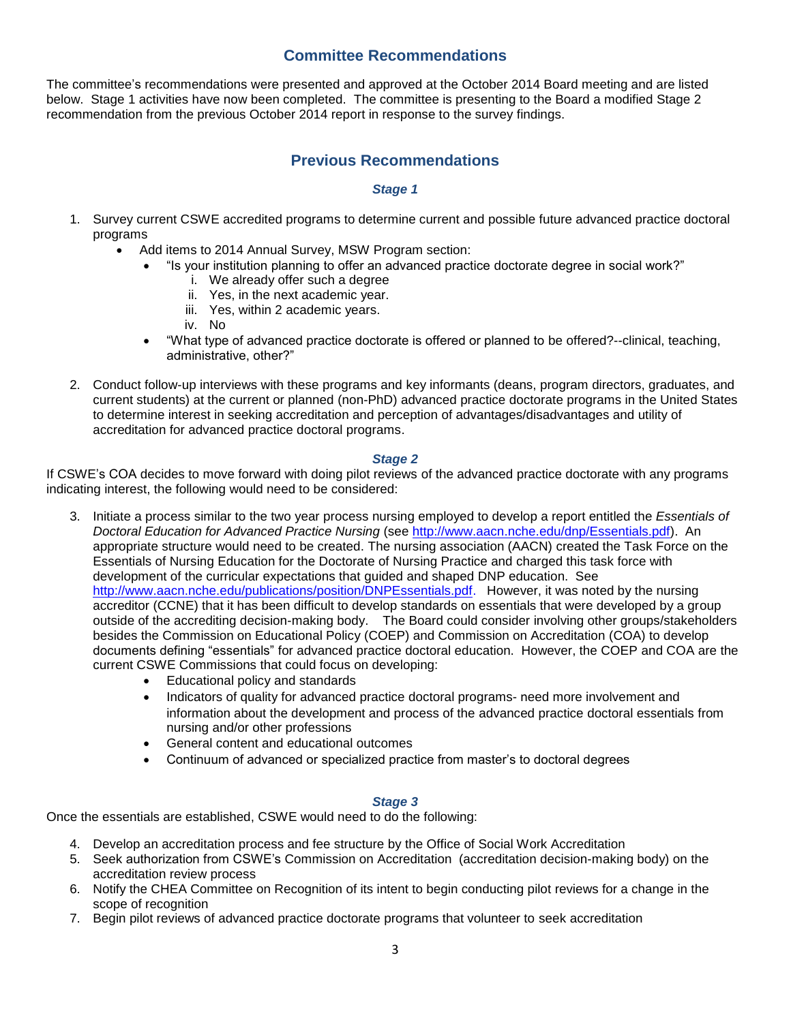## **Committee Recommendations**

The committee's recommendations were presented and approved at the October 2014 Board meeting and are listed below. Stage 1 activities have now been completed. The committee is presenting to the Board a modified Stage 2 recommendation from the previous October 2014 report in response to the survey findings.

## **Previous Recommendations**

### *Stage 1*

- 1. Survey current CSWE accredited programs to determine current and possible future advanced practice doctoral programs
	- Add items to 2014 Annual Survey, MSW Program section:
		- "Is your institution planning to offer an advanced practice doctorate degree in social work?"
			- i. We already offer such a degree
			- ii. Yes, in the next academic year.
			- iii. Yes, within 2 academic years.
			- iv. No
		- "What type of advanced practice doctorate is offered or planned to be offered?--clinical, teaching, administrative, other?"
- 2. Conduct follow-up interviews with these programs and key informants (deans, program directors, graduates, and current students) at the current or planned (non-PhD) advanced practice doctorate programs in the United States to determine interest in seeking accreditation and perception of advantages/disadvantages and utility of accreditation for advanced practice doctoral programs.

### *Stage 2*

If CSWE's COA decides to move forward with doing pilot reviews of the advanced practice doctorate with any programs indicating interest, the following would need to be considered:

- 3. Initiate a process similar to the two year process nursing employed to develop a report entitled the *Essentials of Doctoral Education for Advanced Practice Nursing* (see [http://www.aacn.nche.edu/dnp/Essentials.pdf\)](http://www.aacn.nche.edu/dnp/Essentials.pdf). An appropriate structure would need to be created. The nursing association (AACN) created the Task Force on the Essentials of Nursing Education for the Doctorate of Nursing Practice and charged this task force with development of the curricular expectations that guided and shaped DNP education. See [http://www.aacn.nche.edu/publications/position/DNPEssentials.pdf.](http://www.aacn.nche.edu/publications/position/DNPEssentials.pdf) However, it was noted by the nursing accreditor (CCNE) that it has been difficult to develop standards on essentials that were developed by a group outside of the accrediting decision-making body. The Board could consider involving other groups/stakeholders besides the Commission on Educational Policy (COEP) and Commission on Accreditation (COA) to develop documents defining "essentials" for advanced practice doctoral education. However, the COEP and COA are the current CSWE Commissions that could focus on developing:
	- Educational policy and standards
	- Indicators of quality for advanced practice doctoral programs- need more involvement and information about the development and process of the advanced practice doctoral essentials from nursing and/or other professions
	- General content and educational outcomes
	- Continuum of advanced or specialized practice from master's to doctoral degrees

### *Stage 3*

Once the essentials are established, CSWE would need to do the following:

- 4. Develop an accreditation process and fee structure by the Office of Social Work Accreditation
- 5. Seek authorization from CSWE's Commission on Accreditation (accreditation decision-making body) on the accreditation review process
- 6. Notify the CHEA Committee on Recognition of its intent to begin conducting pilot reviews for a change in the scope of recognition
- 7. Begin pilot reviews of advanced practice doctorate programs that volunteer to seek accreditation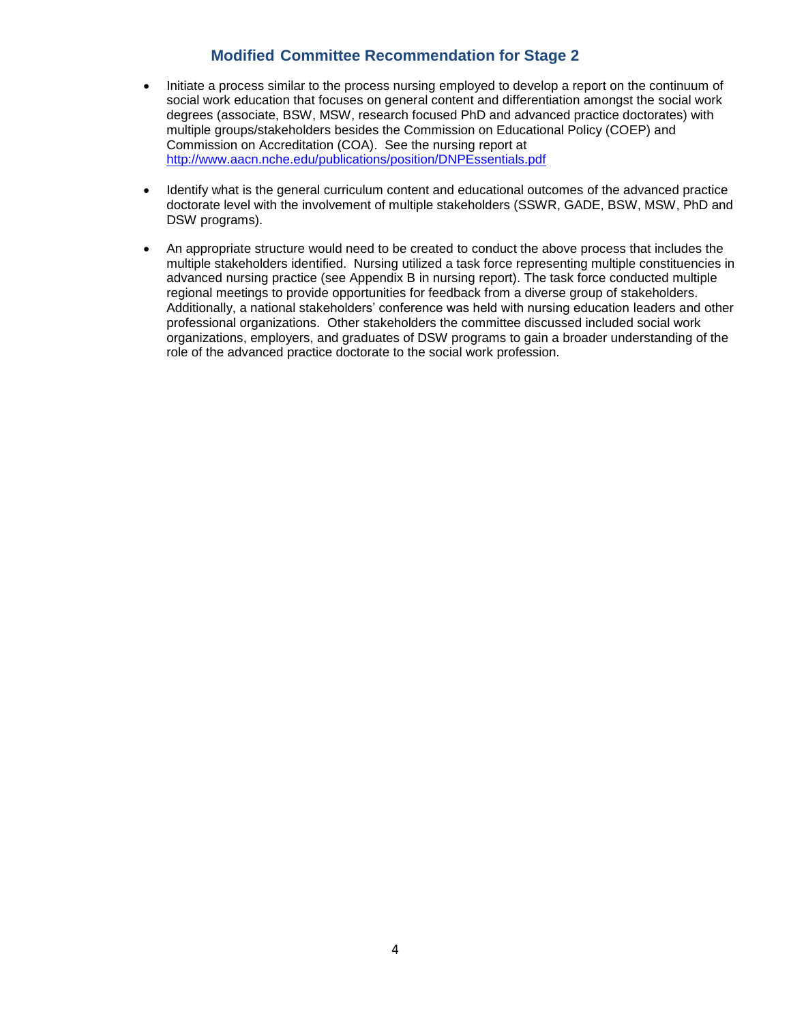## **Modified Committee Recommendation for Stage 2**

- Initiate a process similar to the process nursing employed to develop a report on the continuum of social work education that focuses on general content and differentiation amongst the social work degrees (associate, BSW, MSW, research focused PhD and advanced practice doctorates) with multiple groups/stakeholders besides the Commission on Educational Policy (COEP) and Commission on Accreditation (COA). See the nursing report at <http://www.aacn.nche.edu/publications/position/DNPEssentials.pdf>
- Identify what is the general curriculum content and educational outcomes of the advanced practice doctorate level with the involvement of multiple stakeholders (SSWR, GADE, BSW, MSW, PhD and DSW programs).
- An appropriate structure would need to be created to conduct the above process that includes the multiple stakeholders identified. Nursing utilized a task force representing multiple constituencies in advanced nursing practice (see Appendix B in nursing report). The task force conducted multiple regional meetings to provide opportunities for feedback from a diverse group of stakeholders. Additionally, a national stakeholders' conference was held with nursing education leaders and other professional organizations. Other stakeholders the committee discussed included social work organizations, employers, and graduates of DSW programs to gain a broader understanding of the role of the advanced practice doctorate to the social work profession.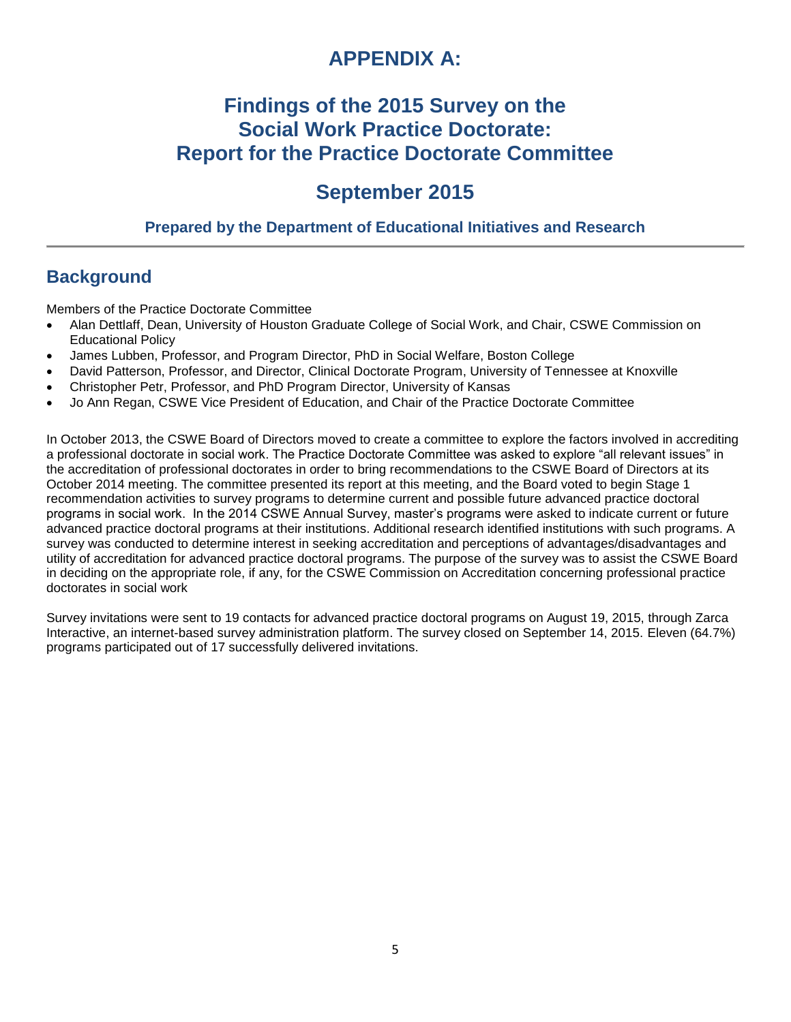# **APPENDIX A:**

# **Findings of the 2015 Survey on the Social Work Practice Doctorate: Report for the Practice Doctorate Committee**

# **September 2015**

## **Prepared by the Department of Educational Initiatives and Research**

# **Background**

Members of the Practice Doctorate Committee

- Alan Dettlaff, Dean, University of Houston Graduate College of Social Work, and Chair, CSWE Commission on Educational Policy
- James Lubben, Professor, and Program Director, PhD in Social Welfare, Boston College
- David Patterson, Professor, and Director, Clinical Doctorate Program, University of Tennessee at Knoxville
- Christopher Petr, Professor, and PhD Program Director, University of Kansas
- Jo Ann Regan, CSWE Vice President of Education, and Chair of the Practice Doctorate Committee

In October 2013, the CSWE Board of Directors moved to create a committee to explore the factors involved in accrediting a professional doctorate in social work. The Practice Doctorate Committee was asked to explore "all relevant issues" in the accreditation of professional doctorates in order to bring recommendations to the CSWE Board of Directors at its October 2014 meeting. The committee presented its report at this meeting, and the Board voted to begin Stage 1 recommendation activities to survey programs to determine current and possible future advanced practice doctoral programs in social work. In the 2014 CSWE Annual Survey, master's programs were asked to indicate current or future advanced practice doctoral programs at their institutions. Additional research identified institutions with such programs. A survey was conducted to determine interest in seeking accreditation and perceptions of advantages/disadvantages and utility of accreditation for advanced practice doctoral programs. The purpose of the survey was to assist the CSWE Board in deciding on the appropriate role, if any, for the CSWE Commission on Accreditation concerning professional practice doctorates in social work

Survey invitations were sent to 19 contacts for advanced practice doctoral programs on August 19, 2015, through Zarca Interactive, an internet-based survey administration platform. The survey closed on September 14, 2015. Eleven (64.7%) programs participated out of 17 successfully delivered invitations.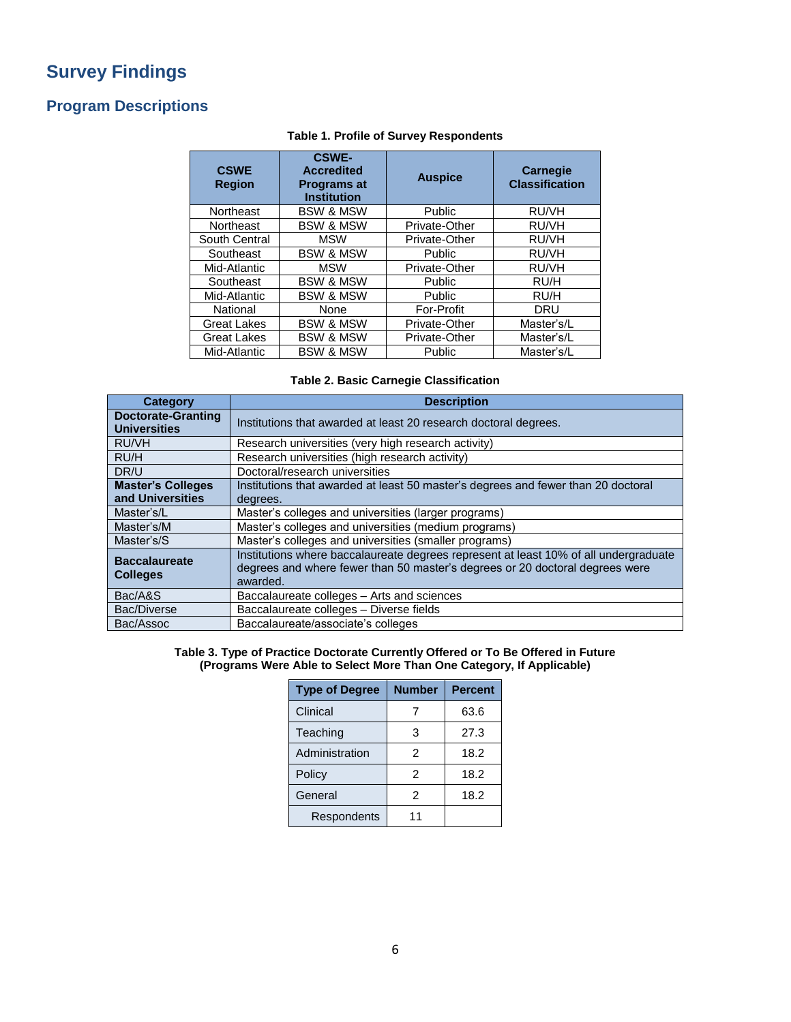# **Survey Findings**

## **Program Descriptions**

| <b>CSWE</b><br><b>Region</b> | <b>CSWE-</b><br><b>Accredited</b><br><b>Programs at</b><br><b>Institution</b> | <b>Auspice</b>    | <b>Carnegie</b><br><b>Classification</b> |
|------------------------------|-------------------------------------------------------------------------------|-------------------|------------------------------------------|
| Northeast                    | <b>BSW &amp; MSW</b>                                                          | Public            | RU/VH                                    |
| Northeast                    | <b>BSW &amp; MSW</b>                                                          | Private-Other     | RU/VH                                    |
| South Central                | <b>MSW</b>                                                                    | Private-Other     | RU/VH                                    |
| Southeast                    | <b>BSW &amp; MSW</b>                                                          | Public            | RU/VH                                    |
| Mid-Atlantic                 | <b>MSW</b>                                                                    | Private-Other     | RU/VH                                    |
| Southeast                    | <b>BSW &amp; MSW</b>                                                          | Public            | RU/H                                     |
| Mid-Atlantic                 | <b>BSW &amp; MSW</b>                                                          | Public            | RU/H                                     |
| National                     | None                                                                          | <b>For-Profit</b> | <b>DRU</b>                               |
| <b>Great Lakes</b>           | <b>BSW &amp; MSW</b>                                                          | Private-Other     | Master's/L                               |
| <b>Great Lakes</b>           | <b>BSW &amp; MSW</b>                                                          | Private-Other     | Master's/L                               |
| Mid-Atlantic                 | <b>BSW &amp; MSW</b>                                                          | Public            | Master's/L                               |

### **Table 1. Profile of Survey Respondents**

### **Table 2. Basic Carnegie Classification**

| <b>Category</b>                                  | <b>Description</b>                                                                                                                                                               |
|--------------------------------------------------|----------------------------------------------------------------------------------------------------------------------------------------------------------------------------------|
| <b>Doctorate-Granting</b><br><b>Universities</b> | Institutions that awarded at least 20 research doctoral degrees.                                                                                                                 |
| RU/VH                                            | Research universities (very high research activity)                                                                                                                              |
| RU/H                                             | Research universities (high research activity)                                                                                                                                   |
| DR/U                                             | Doctoral/research universities                                                                                                                                                   |
| <b>Master's Colleges</b>                         | Institutions that awarded at least 50 master's degrees and fewer than 20 doctoral                                                                                                |
| and Universities                                 | degrees.                                                                                                                                                                         |
| Master's/L                                       | Master's colleges and universities (larger programs)                                                                                                                             |
| Master's/M                                       | Master's colleges and universities (medium programs)                                                                                                                             |
| Master's/S                                       | Master's colleges and universities (smaller programs)                                                                                                                            |
| <b>Baccalaureate</b><br><b>Colleges</b>          | Institutions where baccalaureate degrees represent at least 10% of all undergraduate<br>degrees and where fewer than 50 master's degrees or 20 doctoral degrees were<br>awarded. |
| Bac/A&S                                          | Baccalaureate colleges - Arts and sciences                                                                                                                                       |
| Bac/Diverse                                      | Baccalaureate colleges - Diverse fields                                                                                                                                          |
| Bac/Assoc                                        | Baccalaureate/associate's colleges                                                                                                                                               |

#### **Table 3. Type of Practice Doctorate Currently Offered or To Be Offered in Future (Programs Were Able to Select More Than One Category, If Applicable)**

| <b>Type of Degree</b> | <b>Number</b> | <b>Percent</b> |
|-----------------------|---------------|----------------|
| Clinical              |               | 63.6           |
| Teaching              | 3             | 27.3           |
| Administration        | $\mathcal{P}$ | 18.2           |
| Policy                | 2             | 18.2           |
| General               | $\mathcal{P}$ | 18.2           |
| Respondents           | 11            |                |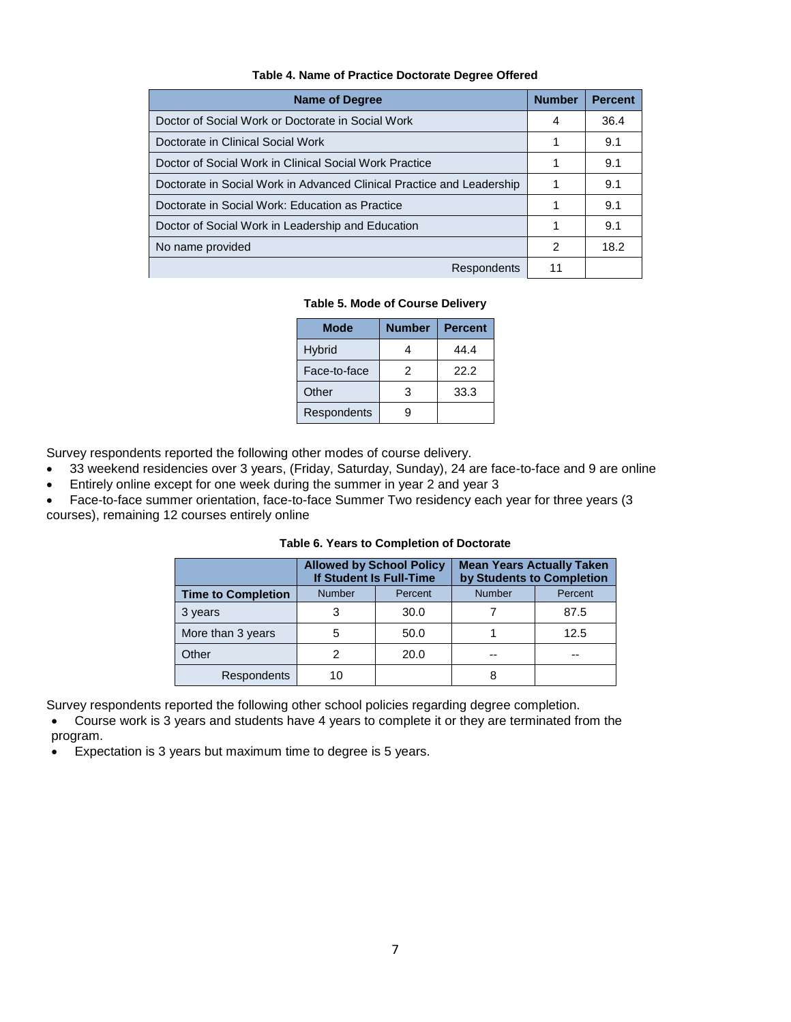| Table 4. Name of Practice Doctorate Degree Offered |  |  |  |  |
|----------------------------------------------------|--|--|--|--|
|----------------------------------------------------|--|--|--|--|

| <b>Name of Degree</b>                                                 | <b>Number</b> | <b>Percent</b> |
|-----------------------------------------------------------------------|---------------|----------------|
| Doctor of Social Work or Doctorate in Social Work                     | 4             | 36.4           |
| Doctorate in Clinical Social Work                                     |               | 9.1            |
| Doctor of Social Work in Clinical Social Work Practice                |               | 9.1            |
| Doctorate in Social Work in Advanced Clinical Practice and Leadership |               | 9.1            |
| Doctorate in Social Work: Education as Practice                       |               | 9.1            |
| Doctor of Social Work in Leadership and Education                     | 1             | 9.1            |
| No name provided                                                      | 2             | 18.2           |
| Respondents                                                           | 11            |                |

**Table 5. Mode of Course Delivery**

| <b>Mode</b>   | <b>Number</b> | <b>Percent</b> |
|---------------|---------------|----------------|
| <b>Hybrid</b> |               | 44.4           |
| Face-to-face  | 2             | 22.2           |
| Other         | 3             | 33.3           |
| Respondents   |               |                |

Survey respondents reported the following other modes of course delivery.

- 33 weekend residencies over 3 years, (Friday, Saturday, Sunday), 24 are face-to-face and 9 are online
- Entirely online except for one week during the summer in year 2 and year 3
- Face-to-face summer orientation, face-to-face Summer Two residency each year for three years (3 courses), remaining 12 courses entirely online

|                           | <b>Allowed by School Policy</b><br>If Student Is Full-Time |      | <b>Mean Years Actually Taken</b><br>by Students to Completion |         |
|---------------------------|------------------------------------------------------------|------|---------------------------------------------------------------|---------|
| <b>Time to Completion</b> | <b>Number</b><br>Percent                                   |      | <b>Number</b>                                                 | Percent |
| 3 years                   | 3                                                          | 30.0 |                                                               | 87.5    |
| More than 3 years         | 5                                                          | 50.0 |                                                               | 12.5    |
| Other                     |                                                            | 20.0 | --                                                            | --      |
| Respondents               | 10                                                         |      | 8                                                             |         |

Survey respondents reported the following other school policies regarding degree completion.

 Course work is 3 years and students have 4 years to complete it or they are terminated from the program.

Expectation is 3 years but maximum time to degree is 5 years.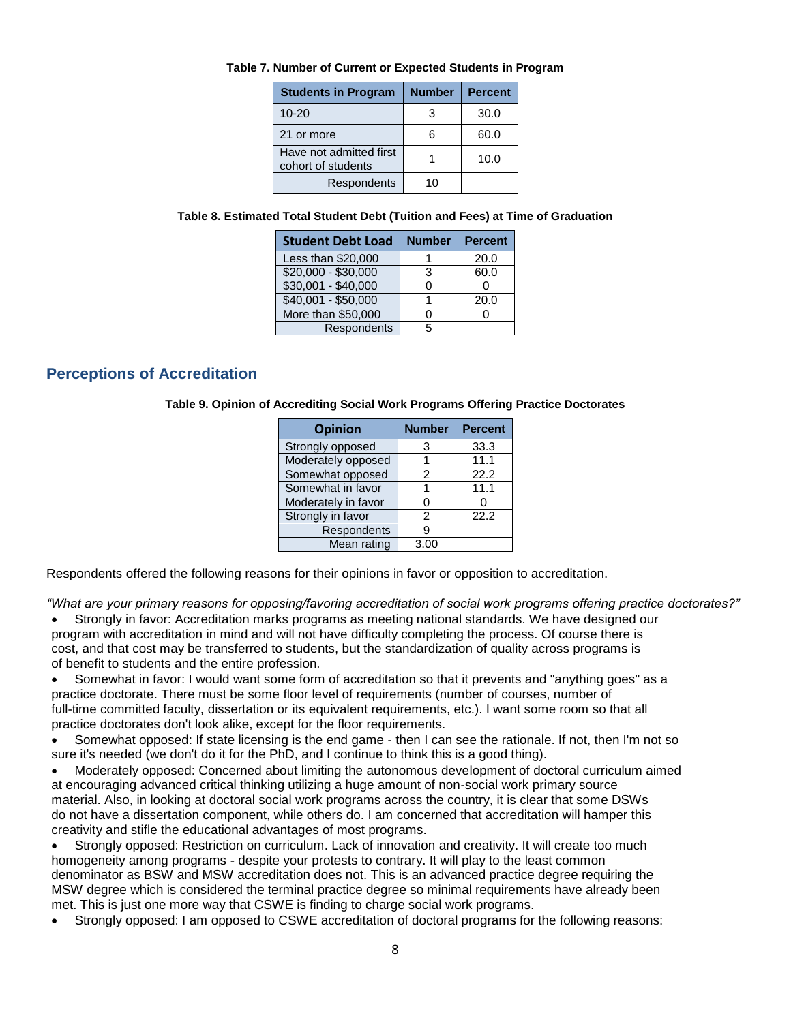|  |  | Table 7. Number of Current or Expected Students in Program |
|--|--|------------------------------------------------------------|
|  |  |                                                            |

| <b>Students in Program</b>                    | <b>Number</b> | <b>Percent</b> |
|-----------------------------------------------|---------------|----------------|
| $10 - 20$                                     | 3             | 30.0           |
| 21 or more                                    | հ             | 60.0           |
| Have not admitted first<br>cohort of students |               | 10.0           |
| Respondents                                   | 10            |                |

| <b>Student Debt Load</b> | <b>Number</b> | <b>Percent</b> |
|--------------------------|---------------|----------------|
| Less than \$20,000       |               | 20.0           |
| $$20,000 - $30,000$      | 3             | 60.0           |
| $$30,001 - $40,000$      |               |                |
| $$40,001 - $50,000$      |               | 20.0           |
| More than \$50,000       |               |                |
| Respondents              |               |                |

## **Perceptions of Accreditation**

**Table 9. Opinion of Accrediting Social Work Programs Offering Practice Doctorates**

| <b>Opinion</b>      | <b>Number</b> | <b>Percent</b> |
|---------------------|---------------|----------------|
| Strongly opposed    | 3             | 33.3           |
| Moderately opposed  |               | 11.1           |
| Somewhat opposed    | 2             | 22.2           |
| Somewhat in favor   |               | 11.1           |
| Moderately in favor |               |                |
| Strongly in favor   | 2             | 22.2           |
| Respondents         | 9             |                |
| Mean rating         | 3.00          |                |
|                     |               |                |

Respondents offered the following reasons for their opinions in favor or opposition to accreditation.

*"What are your primary reasons for opposing/favoring accreditation of social work programs offering practice doctorates?"*

- Strongly in favor: Accreditation marks programs as meeting national standards. We have designed our program with accreditation in mind and will not have difficulty completing the process. Of course there is cost, and that cost may be transferred to students, but the standardization of quality across programs is of benefit to students and the entire profession.
- Somewhat in favor: I would want some form of accreditation so that it prevents and "anything goes" as a practice doctorate. There must be some floor level of requirements (number of courses, number of full-time committed faculty, dissertation or its equivalent requirements, etc.). I want some room so that all practice doctorates don't look alike, except for the floor requirements.
- Somewhat opposed: If state licensing is the end game then I can see the rationale. If not, then I'm not so sure it's needed (we don't do it for the PhD, and I continue to think this is a good thing).
- Moderately opposed: Concerned about limiting the autonomous development of doctoral curriculum aimed at encouraging advanced critical thinking utilizing a huge amount of non-social work primary source material. Also, in looking at doctoral social work programs across the country, it is clear that some DSWs do not have a dissertation component, while others do. I am concerned that accreditation will hamper this creativity and stifle the educational advantages of most programs.
- Strongly opposed: Restriction on curriculum. Lack of innovation and creativity. It will create too much homogeneity among programs - despite your protests to contrary. It will play to the least common denominator as BSW and MSW accreditation does not. This is an advanced practice degree requiring the MSW degree which is considered the terminal practice degree so minimal requirements have already been met. This is just one more way that CSWE is finding to charge social work programs.
- Strongly opposed: I am opposed to CSWE accreditation of doctoral programs for the following reasons: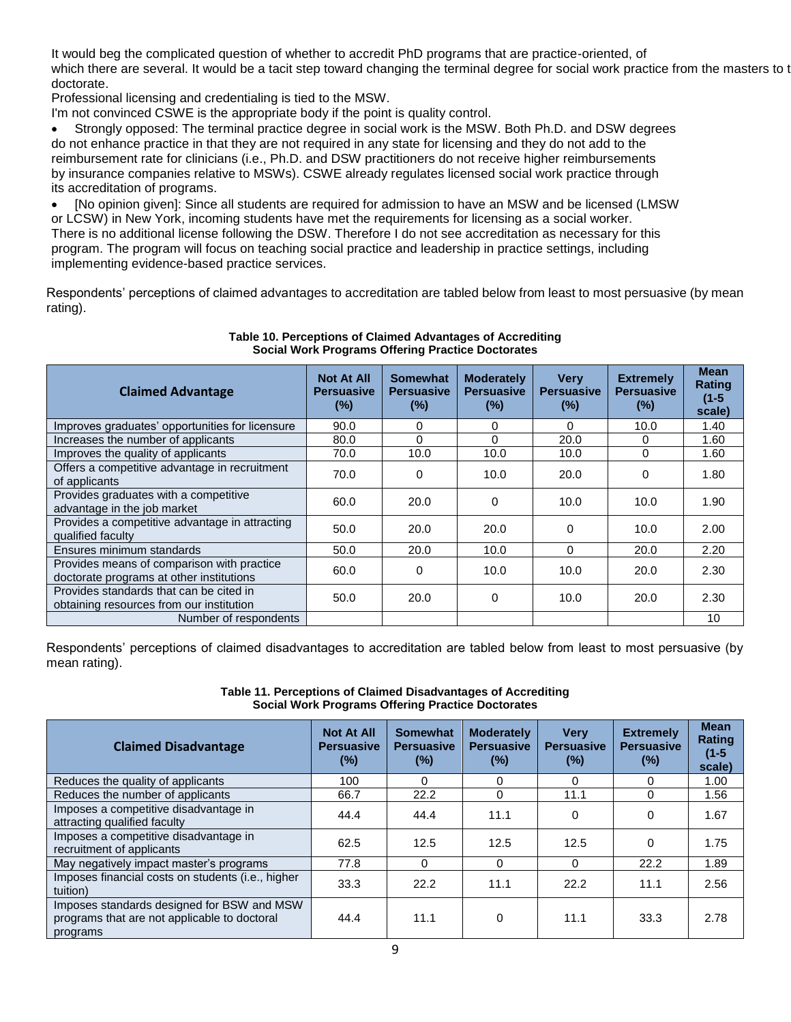It would beg the complicated question of whether to accredit PhD programs that are practice-oriented, of which there are several. It would be a tacit step toward changing the terminal degree for social work practice from the masters to t doctorate.

Professional licensing and credentialing is tied to the MSW.

I'm not convinced CSWE is the appropriate body if the point is quality control.

 Strongly opposed: The terminal practice degree in social work is the MSW. Both Ph.D. and DSW degrees do not enhance practice in that they are not required in any state for licensing and they do not add to the reimbursement rate for clinicians (i.e., Ph.D. and DSW practitioners do not receive higher reimbursements by insurance companies relative to MSWs). CSWE already regulates licensed social work practice through its accreditation of programs.

 [No opinion given]: Since all students are required for admission to have an MSW and be licensed (LMSW or LCSW) in New York, incoming students have met the requirements for licensing as a social worker. There is no additional license following the DSW. Therefore I do not see accreditation as necessary for this program. The program will focus on teaching social practice and leadership in practice settings, including implementing evidence-based practice services.

Respondents' perceptions of claimed advantages to accreditation are tabled below from least to most persuasive (by mean rating).

| <b>Claimed Advantage</b>                                                               | <b>Not At All</b><br><b>Persuasive</b><br>$(\%)$ | <b>Somewhat</b><br><b>Persuasive</b><br>$(\%)$ | <b>Moderately</b><br><b>Persuasive</b><br>$(\%)$ | <b>Very</b><br><b>Persuasive</b><br>$(\%)$ | <b>Extremely</b><br><b>Persuasive</b><br>$(\%)$ | <b>Mean</b><br><b>Rating</b><br>$(1-5)$<br>scale) |
|----------------------------------------------------------------------------------------|--------------------------------------------------|------------------------------------------------|--------------------------------------------------|--------------------------------------------|-------------------------------------------------|---------------------------------------------------|
| Improves graduates' opportunities for licensure                                        | 90.0                                             | 0                                              | 0                                                | 0                                          | 10.0                                            | 1.40                                              |
| Increases the number of applicants                                                     | 80.0                                             | $\Omega$                                       | $\Omega$                                         | 20.0                                       | 0                                               | 1.60                                              |
| Improves the quality of applicants                                                     | 70.0                                             | 10.0                                           | 10.0                                             | 10.0                                       | $\Omega$                                        | 1.60                                              |
| Offers a competitive advantage in recruitment<br>of applicants                         | 70.0                                             | 0                                              | 10.0                                             | 20.0                                       | 0                                               | 1.80                                              |
| Provides graduates with a competitive<br>advantage in the job market                   | 60.0                                             | 20.0                                           | 0                                                | 10.0                                       | 10.0                                            | 1.90                                              |
| Provides a competitive advantage in attracting<br>qualified faculty                    | 50.0                                             | 20.0                                           | 20.0                                             | 0                                          | 10.0                                            | 2.00                                              |
| Ensures minimum standards                                                              | 50.0                                             | 20.0                                           | 10.0                                             | 0                                          | 20.0                                            | 2.20                                              |
| Provides means of comparison with practice<br>doctorate programs at other institutions | 60.0                                             | $\Omega$                                       | 10.0                                             | 10.0                                       | 20.0                                            | 2.30                                              |
| Provides standards that can be cited in<br>obtaining resources from our institution    | 50.0                                             | 20.0                                           | 0                                                | 10.0                                       | 20.0                                            | 2.30                                              |
| Number of respondents                                                                  |                                                  |                                                |                                                  |                                            |                                                 | 10                                                |

#### **Table 10. Perceptions of Claimed Advantages of Accrediting Social Work Programs Offering Practice Doctorates**

Respondents' perceptions of claimed disadvantages to accreditation are tabled below from least to most persuasive (by mean rating).

**Table 11. Perceptions of Claimed Disadvantages of Accrediting Social Work Programs Offering Practice Doctorates**

| <b>Claimed Disadvantage</b>                                                                            | <b>Not At All</b><br><b>Persuasive</b><br>$(\%)$ | <b>Somewhat</b><br><b>Persuasive</b><br>$(\%)$ | <b>Moderately</b><br><b>Persuasive</b><br>(%) | <b>Very</b><br><b>Persuasive</b><br>(%) | <b>Extremely</b><br><b>Persuasive</b><br>$(\%)$ | <b>Mean</b><br>Rating<br>$(1-5)$<br>scale) |
|--------------------------------------------------------------------------------------------------------|--------------------------------------------------|------------------------------------------------|-----------------------------------------------|-----------------------------------------|-------------------------------------------------|--------------------------------------------|
| Reduces the quality of applicants                                                                      | 100                                              | 0                                              | 0                                             | 0                                       | $\Omega$                                        | 1.00                                       |
| Reduces the number of applicants                                                                       | 66.7                                             | 22.2                                           | 0                                             | 11.1                                    | $\Omega$                                        | 1.56                                       |
| Imposes a competitive disadvantage in<br>attracting qualified faculty                                  | 44.4                                             | 44.4                                           | 11.1                                          | 0                                       | $\Omega$                                        | 1.67                                       |
| Imposes a competitive disadvantage in<br>recruitment of applicants                                     | 62.5                                             | 12.5                                           | 12.5                                          | 12.5                                    | $\Omega$                                        | 1.75                                       |
| May negatively impact master's programs                                                                | 77.8                                             | $\Omega$                                       | $\Omega$                                      | $\Omega$                                | 22.2                                            | 1.89                                       |
| Imposes financial costs on students (i.e., higher<br>tuition)                                          | 33.3                                             | 22.2                                           | 11.1                                          | 22.2                                    | 11.1                                            | 2.56                                       |
| Imposes standards designed for BSW and MSW<br>programs that are not applicable to doctoral<br>programs | 44.4                                             | 11.1                                           | 0                                             | 11.1                                    | 33.3                                            | 2.78                                       |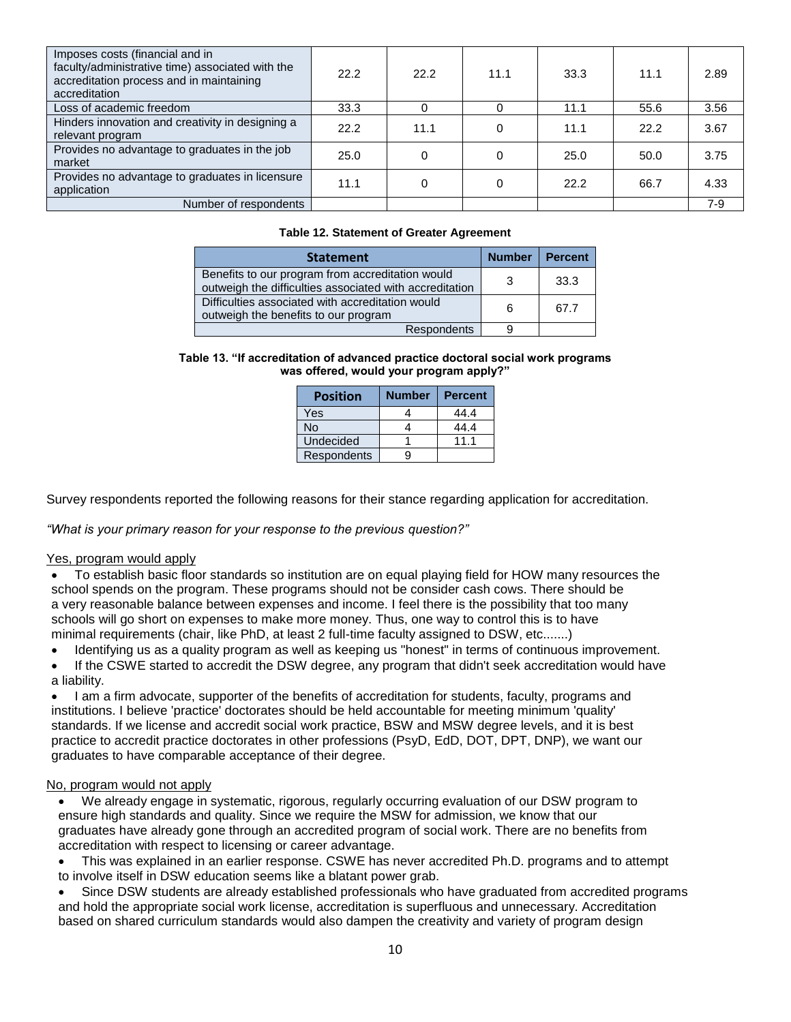| Imposes costs (financial and in<br>faculty/administrative time) associated with the<br>accreditation process and in maintaining<br>accreditation | 22.2 | 22.2 | 11.1 | 33.3 | 11.1 | 2.89  |
|--------------------------------------------------------------------------------------------------------------------------------------------------|------|------|------|------|------|-------|
| Loss of academic freedom                                                                                                                         | 33.3 | 0    | 0    | 11.1 | 55.6 | 3.56  |
| Hinders innovation and creativity in designing a<br>relevant program                                                                             | 22.2 | 11.1 | 0    | 11.1 | 22.2 | 3.67  |
| Provides no advantage to graduates in the job<br>market                                                                                          | 25.0 | 0    | 0    | 25.0 | 50.0 | 3.75  |
| Provides no advantage to graduates in licensure<br>application                                                                                   | 11.1 | 0    | 0    | 22.2 | 66.7 | 4.33  |
| Number of respondents                                                                                                                            |      |      |      |      |      | $7-9$ |

#### **Table 12. Statement of Greater Agreement**

| <b>Statement</b>                                                                                            | <b>Number</b> | <b>Percent</b> |
|-------------------------------------------------------------------------------------------------------------|---------------|----------------|
| Benefits to our program from accreditation would<br>outweigh the difficulties associated with accreditation | -3            | 33.3           |
| Difficulties associated with accreditation would<br>outweigh the benefits to our program                    | 6             | 67.7           |
| <b>Respondents</b>                                                                                          | 9             |                |

#### **Table 13. "If accreditation of advanced practice doctoral social work programs was offered, would your program apply?"**

| <b>Position</b>  | <b>Number</b> | <b>Percent</b> |
|------------------|---------------|----------------|
| Yes              |               | 44.4           |
| No               |               | 44.4           |
| <b>Undecided</b> |               | 11 1           |
| Respondents      |               |                |

Survey respondents reported the following reasons for their stance regarding application for accreditation.

*"What is your primary reason for your response to the previous question?"*

#### Yes, program would apply

 To establish basic floor standards so institution are on equal playing field for HOW many resources the school spends on the program. These programs should not be consider cash cows. There should be a very reasonable balance between expenses and income. I feel there is the possibility that too many schools will go short on expenses to make more money. Thus, one way to control this is to have minimal requirements (chair, like PhD, at least 2 full-time faculty assigned to DSW, etc.......)

- Identifying us as a quality program as well as keeping us "honest" in terms of continuous improvement.
- If the CSWE started to accredit the DSW degree, any program that didn't seek accreditation would have a liability.

 I am a firm advocate, supporter of the benefits of accreditation for students, faculty, programs and institutions. I believe 'practice' doctorates should be held accountable for meeting minimum 'quality' standards. If we license and accredit social work practice, BSW and MSW degree levels, and it is best practice to accredit practice doctorates in other professions (PsyD, EdD, DOT, DPT, DNP), we want our graduates to have comparable acceptance of their degree.

#### No, program would not apply

 We already engage in systematic, rigorous, regularly occurring evaluation of our DSW program to ensure high standards and quality. Since we require the MSW for admission, we know that our graduates have already gone through an accredited program of social work. There are no benefits from accreditation with respect to licensing or career advantage.

 This was explained in an earlier response. CSWE has never accredited Ph.D. programs and to attempt to involve itself in DSW education seems like a blatant power grab.

 Since DSW students are already established professionals who have graduated from accredited programs and hold the appropriate social work license, accreditation is superfluous and unnecessary. Accreditation based on shared curriculum standards would also dampen the creativity and variety of program design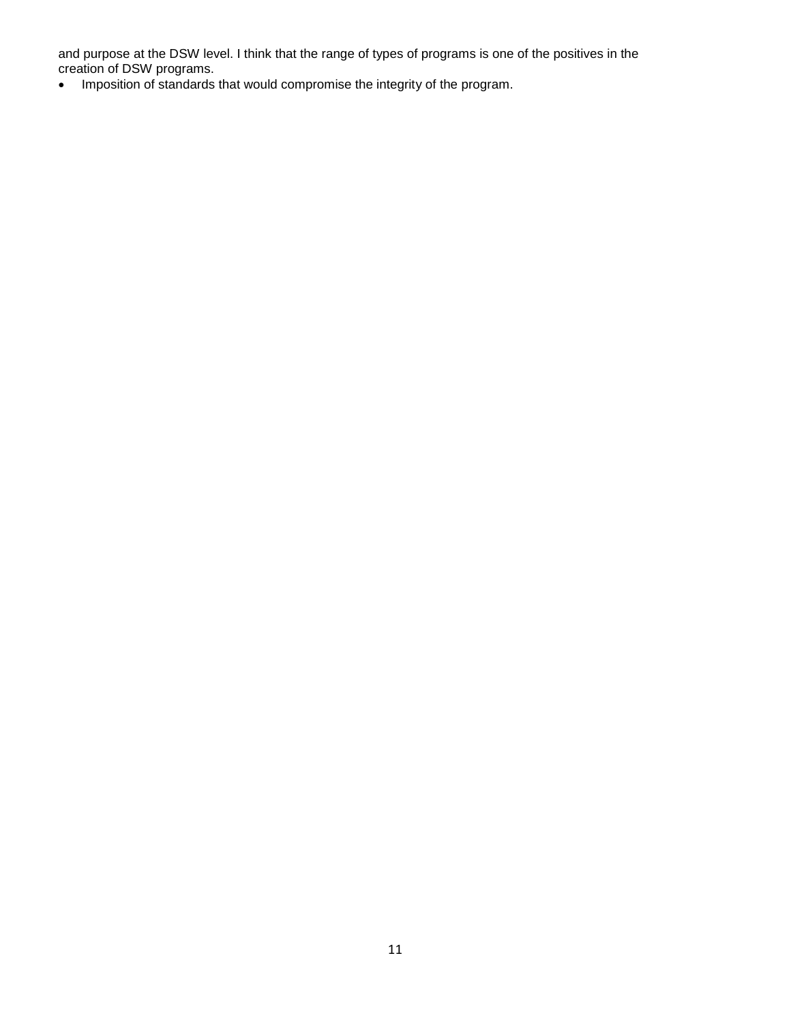and purpose at the DSW level. I think that the range of types of programs is one of the positives in the creation of DSW programs.

• Imposition of standards that would compromise the integrity of the program.